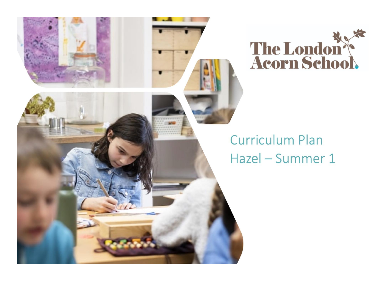



# **Curriculum Plan** Hazel - Summer 1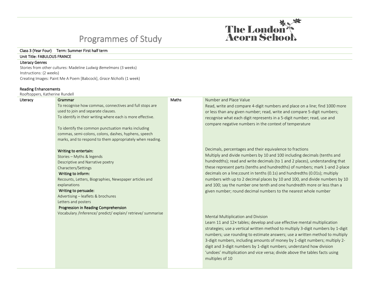# Programmes of Study

## Class 3 (Year Four) Term: Summer First half term

## Unit Title: FABULOUS FRANCE

#### Literacy Genres

Stories from other cultures: Madeline *Ludwig Bemelmans* (3 weeks) Instructions: (2 weeks) Creating Images: Paint Me A Poem [Babcock], *Grace Nicholls* (1 week)

#### Reading Enhancements

Rooftoppers, Katherine Rundell

| Literacy | Grammar                                                      | Maths | Number and Place Value                                                           |
|----------|--------------------------------------------------------------|-------|----------------------------------------------------------------------------------|
|          | To recognise how commas, connectives and full stops are      |       | Read, write and compare 4-digit numbers and place on a line; find 1000 more      |
|          | used to join and separate clauses.                           |       | or less than any given number; read, write and compare 5-digit numbers;          |
|          | To identify in their writing where each is more effective.   |       | recognise what each digit represents in a 5-digit number; read, use and          |
|          |                                                              |       | compare negative numbers in the context of temperature                           |
|          | To identify the common punctuation marks including           |       |                                                                                  |
|          | commas, semi-colons, colons, dashes, hyphens, speech         |       |                                                                                  |
|          | marks, and to respond to them appropriately when reading.    |       |                                                                                  |
|          | Writing to entertain:                                        |       | Decimals, percentages and their equivalence to fractions                         |
|          | Stories - Myths & legends                                    |       | Multiply and divide numbers by 10 and 100 including decimals (tenths and         |
|          | Descriptive and Narrative poetry                             |       | hundredths); read and write decimals (to 1 and 2 places), understanding that     |
|          | Characters/Settings                                          |       | these represent parts (tenths and hundredths) of numbers; mark 1-and 2-place     |
|          | Writing to inform:                                           |       | decimals on a line; count in tenths (0.1s) and hundredths (0.01s); multiply      |
|          | Recounts, Letters, Biographies, Newspaper articles and       |       | numbers with up to 2 decimal places by 10 and 100, and divide numbers by 10      |
|          | explanations                                                 |       | and 100; say the number one tenth and one hundredth more or less than a          |
|          | Writing to persuade:                                         |       | given number; round decimal numbers to the nearest whole number                  |
|          | Advertising - leaflets & brochures                           |       |                                                                                  |
|          | Letters and posters                                          |       |                                                                                  |
|          | Progression in Reading Comprehension                         |       |                                                                                  |
|          | Vocabulary /Inference/ predict/ explain/ retrieve/ summarise |       |                                                                                  |
|          |                                                              |       | <b>Mental Multiplication and Division</b>                                        |
|          |                                                              |       | Learn 11 and 12x tables; develop and use effective mental multiplication         |
|          |                                                              |       | strategies; use a vertical written method to multiply 3-digit numbers by 1-digit |
|          |                                                              |       | numbers; use rounding to estimate answers; use a written method to multiply      |
|          |                                                              |       | 3-digit numbers, including amounts of money by 1-digit numbers; multiply 2-      |
|          |                                                              |       | digit and 3-digit numbers by 1-digit numbers; understand how division            |
|          |                                                              |       | 'undoes' multiplication and vice versa; divide above the tables facts using      |
|          |                                                              |       | multiples of 10                                                                  |

The London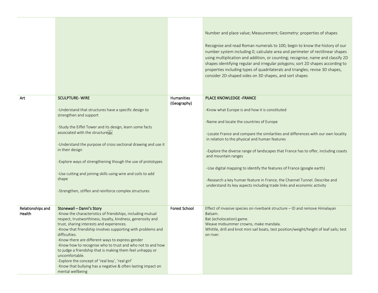|     |                                                                                 |                                  | Number and place value; Measurement; Geometry: properties of shapes<br>Recognise and read Roman numerals to 100; begin to know the history of our<br>number system including 0; calculate area and perimeter of rectilinear shapes<br>using multiplication and addition, or counting; recognise, name and classify 2D<br>shapes identifying regular and irregular polygons; sort 2D shapes according to<br>properties including types of quadrilaterals and triangles; revise 3D shapes,<br>consider 2D-shaped sides on 3D shapes, and sort shapes |
|-----|---------------------------------------------------------------------------------|----------------------------------|----------------------------------------------------------------------------------------------------------------------------------------------------------------------------------------------------------------------------------------------------------------------------------------------------------------------------------------------------------------------------------------------------------------------------------------------------------------------------------------------------------------------------------------------------|
| Art | <b>SCULPTURE-WIRE</b>                                                           | <b>Humanities</b><br>(Geography) | <b>PLACE KNOWLEDGE -FRANCE</b>                                                                                                                                                                                                                                                                                                                                                                                                                                                                                                                     |
|     | -Understand that structures have a specific design to<br>strengthen and support |                                  | -Know what Europe is and how it is constituted                                                                                                                                                                                                                                                                                                                                                                                                                                                                                                     |
|     | -Study the Eiffel Tower and its design, learn some facts                        |                                  | -Name and locate the countries of Europe                                                                                                                                                                                                                                                                                                                                                                                                                                                                                                           |
|     | associated with the structurester                                               |                                  | -Locate France and compare the similarities and differences with our own locality<br>in relation to the physical and human features                                                                                                                                                                                                                                                                                                                                                                                                                |
|     | -Understand the purpose of cross sectional drawing and use it                   |                                  |                                                                                                                                                                                                                                                                                                                                                                                                                                                                                                                                                    |

-Explore the diverse range of landscapes that France has to offer, including coasts and mountain ranges

-Use digital mapping to identify the features of France (google earth)

-Research a key human feature in France, the Channel Tunnel. Describe and understand its key aspects including trade links and economic activity

-Strengthen, stiffen and reinforce complex structures

-Use cutting and joining skills using wire and coils to add

-Explore ways of strengthening though the use of prototypes

in their design

shape

| Relationships and | Stonewall – Danni's Story                                    | <b>Forest School</b> | Effect of invasive species on riverbank structure - ID and remove Himalayan              |
|-------------------|--------------------------------------------------------------|----------------------|------------------------------------------------------------------------------------------|
| Health            | -Know the characteristics of friendships, including mutual   |                      | Balsam.                                                                                  |
|                   | respect, trustworthiness, loyalty, kindness, generosity and  |                      | Bat (echolocation) game.                                                                 |
|                   | trust, sharing interests and experiences.                    |                      | Weave midsummer crowns, make mandala.                                                    |
|                   | -Know that friendship involves supporting with problems and  |                      | Whittle, drill and knot mini sail boats, test position/weight/height of leaf sails; test |
|                   | difficulties.                                                |                      | on river.                                                                                |
|                   | -Know there are different ways to express gender             |                      |                                                                                          |
|                   | -Know how to recognise who to trust and who not to and how   |                      |                                                                                          |
|                   | to judge a friendship that is making them feel unhappy or    |                      |                                                                                          |
|                   | uncomfortable.                                               |                      |                                                                                          |
|                   | -Explore the concept of 'real boy', 'real girl'              |                      |                                                                                          |
|                   | -Know that bullying has a negative & often lasting impact on |                      |                                                                                          |
|                   | mental wellbeing                                             |                      |                                                                                          |